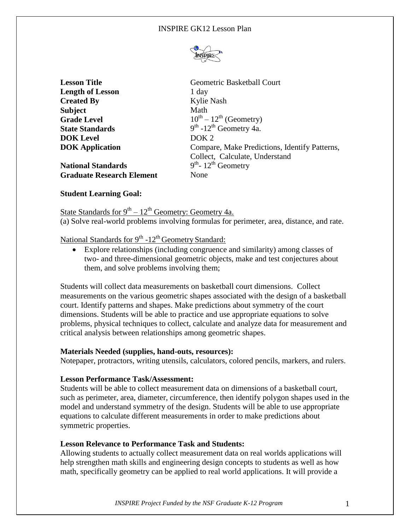

**Lesson Title** Geometric Basketball Court **Length of Lesson** 1 day **Created By** Kylie Nash **Subject** Math **Grade Level State Standards DOK Level** DOK 2

**National Standards Graduate Research Element** None

 $10^{th} - 12^{th}$  (Geometry)  $th$  -12<sup>th</sup> Geometry 4a. **DOK Application Compare, Make Predictions, Identify Patterns,** Collect, Calculate, Understand <sup>th</sup>- 12<sup>th</sup> Geometry

# **Student Learning Goal:**

State Standards for  $9^{th} - 12^{th}$  Geometry: Geometry 4a. (a) Solve real-world problems involving formulas for perimeter, area, distance, and rate.

# National Standards for 9<sup>th</sup> -12<sup>th</sup> Geometry Standard:

 Explore relationships (including congruence and similarity) among classes of two- and three-dimensional geometric objects, make and test conjectures about them, and solve problems involving them;

Students will collect data measurements on basketball court dimensions. Collect measurements on the various geometric shapes associated with the design of a basketball court. Identify patterns and shapes. Make predictions about symmetry of the court dimensions. Students will be able to practice and use appropriate equations to solve problems, physical techniques to collect, calculate and analyze data for measurement and critical analysis between relationships among geometric shapes.

### **Materials Needed (supplies, hand-outs, resources):**

Notepaper, protractors, writing utensils, calculators, colored pencils, markers, and rulers.

### **Lesson Performance Task/Assessment:**

Students will be able to collect measurement data on dimensions of a basketball court, such as perimeter, area, diameter, circumference, then identify polygon shapes used in the model and understand symmetry of the design. Students will be able to use appropriate equations to calculate different measurements in order to make predictions about symmetric properties.

### **Lesson Relevance to Performance Task and Students:**

Allowing students to actually collect measurement data on real worlds applications will help strengthen math skills and engineering design concepts to students as well as how math, specifically geometry can be applied to real world applications. It will provide a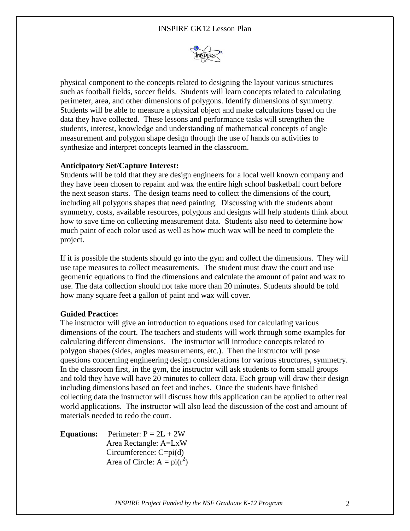

physical component to the concepts related to designing the layout various structures such as football fields, soccer fields. Students will learn concepts related to calculating perimeter, area, and other dimensions of polygons. Identify dimensions of symmetry. Students will be able to measure a physical object and make calculations based on the data they have collected. These lessons and performance tasks will strengthen the students, interest, knowledge and understanding of mathematical concepts of angle measurement and polygon shape design through the use of hands on activities to synthesize and interpret concepts learned in the classroom.

#### **Anticipatory Set/Capture Interest:**

Students will be told that they are design engineers for a local well known company and they have been chosen to repaint and wax the entire high school basketball court before the next season starts. The design teams need to collect the dimensions of the court, including all polygons shapes that need painting. Discussing with the students about symmetry, costs, available resources, polygons and designs will help students think about how to save time on collecting measurement data. Students also need to determine how much paint of each color used as well as how much wax will be need to complete the project.

If it is possible the students should go into the gym and collect the dimensions. They will use tape measures to collect measurements. The student must draw the court and use geometric equations to find the dimensions and calculate the amount of paint and wax to use. The data collection should not take more than 20 minutes. Students should be told how many square feet a gallon of paint and wax will cover.

### **Guided Practice:**

The instructor will give an introduction to equations used for calculating various dimensions of the court. The teachers and students will work through some examples for calculating different dimensions. The instructor will introduce concepts related to polygon shapes (sides, angles measurements, etc.). Then the instructor will pose questions concerning engineering design considerations for various structures, symmetry. In the classroom first, in the gym, the instructor will ask students to form small groups and told they have will have 20 minutes to collect data. Each group will draw their design including dimensions based on feet and inches. Once the students have finished collecting data the instructor will discuss how this application can be applied to other real world applications. The instructor will also lead the discussion of the cost and amount of materials needed to redo the court.

**Equations:** Perimeter:  $P = 2L + 2W$  Area Rectangle: A=LxW Circumference: C=pi(d) Area of Circle:  $A = \pi r^2$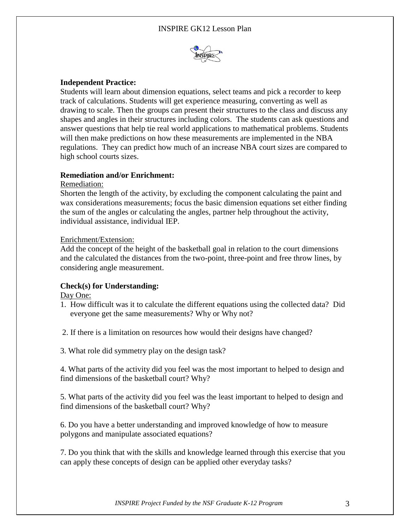

### **Independent Practice:**

Students will learn about dimension equations, select teams and pick a recorder to keep track of calculations. Students will get experience measuring, converting as well as drawing to scale. Then the groups can present their structures to the class and discuss any shapes and angles in their structures including colors. The students can ask questions and answer questions that help tie real world applications to mathematical problems. Students will then make predictions on how these measurements are implemented in the NBA regulations. They can predict how much of an increase NBA court sizes are compared to high school courts sizes.

### **Remediation and/or Enrichment:**

### Remediation:

Shorten the length of the activity, by excluding the component calculating the paint and wax considerations measurements; focus the basic dimension equations set either finding the sum of the angles or calculating the angles, partner help throughout the activity, individual assistance, individual IEP.

### Enrichment/Extension:

Add the concept of the height of the basketball goal in relation to the court dimensions and the calculated the distances from the two-point, three-point and free throw lines, by considering angle measurement.

# **Check(s) for Understanding:**

Day One:

- 1. How difficult was it to calculate the different equations using the collected data? Did everyone get the same measurements? Why or Why not?
- 2. If there is a limitation on resources how would their designs have changed?
- 3. What role did symmetry play on the design task?

4. What parts of the activity did you feel was the most important to helped to design and find dimensions of the basketball court? Why?

5. What parts of the activity did you feel was the least important to helped to design and find dimensions of the basketball court? Why?

6. Do you have a better understanding and improved knowledge of how to measure polygons and manipulate associated equations?

7. Do you think that with the skills and knowledge learned through this exercise that you can apply these concepts of design can be applied other everyday tasks?